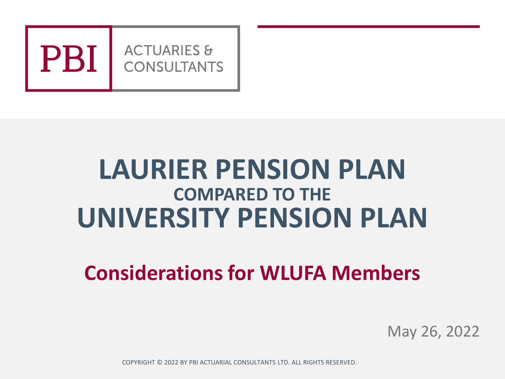

## **LAURIER PENSION PLAN COMPARED TO THE UNIVERSITY PENSION PLAN**

## **Considerations for WLUFA Members**

May 26, 2022

COPYRIGHT © 2022 BY PBI ACTUARIAL CONSULTANTS LTD. ALL RIGHTS RESERVED.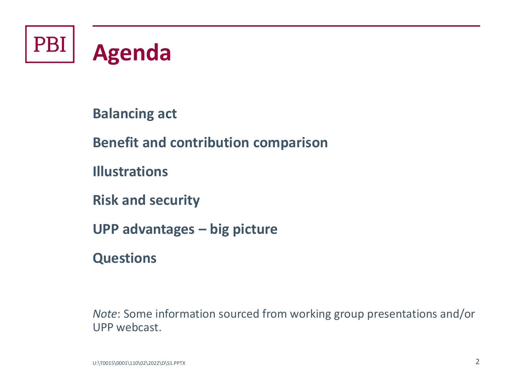

**Balancing act**

**Benefit and contribution comparison**

**Illustrations**

**Risk and security**

**UPP advantages – big picture**

**Questions**

*Note*: Some information sourced from working group presentations and/or UPP webcast.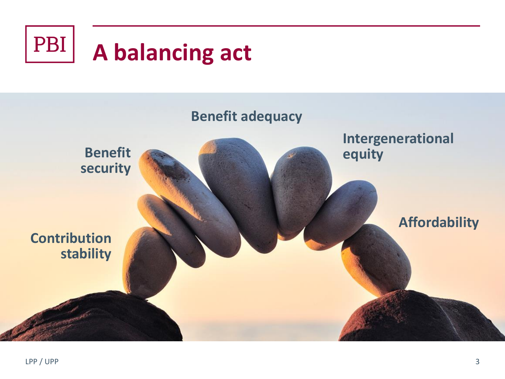

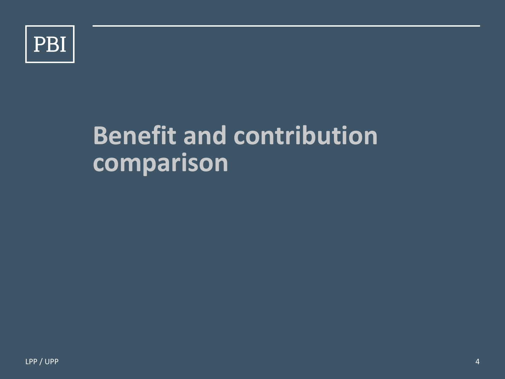

## **Benefit and contribution comparison**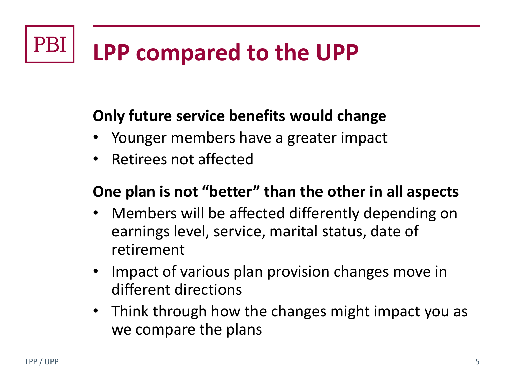#### **PB LPP compared to the UPP**

#### **Only future service benefits would change**

- Younger members have a greater impact
- Retirees not affected

#### **One plan is not "better" than the other in all aspects**

- Members will be affected differently depending on earnings level, service, marital status, date of retirement
- Impact of various plan provision changes move in different directions
- Think through how the changes might impact you as we compare the plans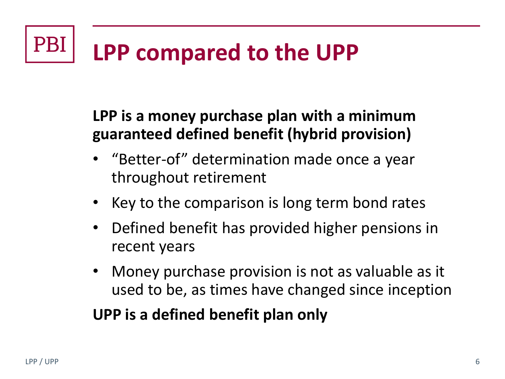#### PBI **LPP compared to the UPP**

#### **LPP is a money purchase plan with a minimum guaranteed defined benefit (hybrid provision)**

- "Better-of" determination made once a year throughout retirement
- Key to the comparison is long term bond rates
- Defined benefit has provided higher pensions in recent years
- Money purchase provision is not as valuable as it used to be, as times have changed since inception

#### **UPP is a defined benefit plan only**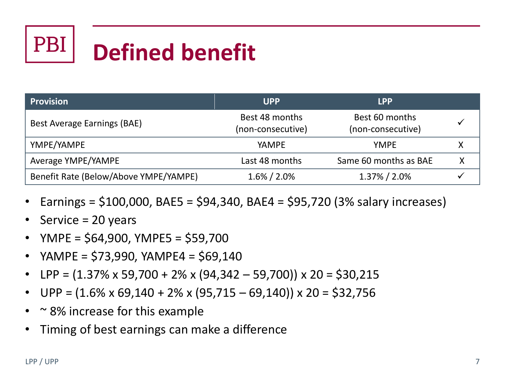# $PB$

## **Defined benefit**

| <b>Provision</b>                      | <b>UPP</b>                          | <b>LPP</b>                          |  |
|---------------------------------------|-------------------------------------|-------------------------------------|--|
| Best Average Earnings (BAE)           | Best 48 months<br>(non-consecutive) | Best 60 months<br>(non-consecutive) |  |
| YMPE/YAMPE                            | <b>YAMPE</b>                        | <b>YMPE</b>                         |  |
| Average YMPE/YAMPE                    | Last 48 months                      | Same 60 months as BAE               |  |
| Benefit Rate (Below/Above YMPE/YAMPE) | $1.6\% / 2.0\%$                     | 1.37% / 2.0%                        |  |

- Earnings =  $$100,000$ , BAE5 =  $$94,340$ , BAE4 =  $$95,720$  (3% salary increases)
- Service = 20 years
- YMPE = \$64,900, YMPE5 = \$59,700
- YAMPE = \$73,990, YAMPE4 = \$69,140
- LPP =  $(1.37\% \times 59,700 + 2\% \times (94,342 59,700)) \times 20 = $30,215$
- UPP =  $(1.6\% \times 69, 140 + 2\% \times (95, 715 69, 140)) \times 20 = $32,756$
- $\sim$  8% increase for this example
- Timing of best earnings can make a difference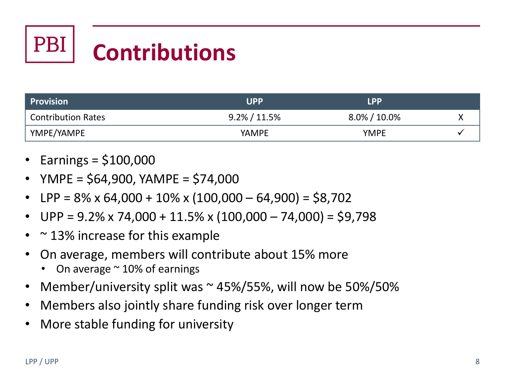## PBI **Contributions**

| Provision                 | <b>UPP</b>       | <b>LPP</b>       |  |
|---------------------------|------------------|------------------|--|
| <b>Contribution Rates</b> | $9.2\% / 11.5\%$ | $8.0\% / 10.0\%$ |  |
| 'YMPE/YAMPE               | YAMPE            | <b>YMPE</b>      |  |

- Earnings = \$100,000
- YMPE = \$64,900, YAMPE = \$74,000
- $LPP = 8\% \times 64,000 + 10\% \times (100,000 64,900) = $8,702$
- UPP =  $9.2\%$  x 74,000 + 11.5% x (100,000 74,000) = \$9,798
- $\approx$  13% increase for this example
- On average, members will contribute about 15% more
	- On average  $\sim$  10% of earnings
- Member/university split was  $\sim$  45%/55%, will now be 50%/50%
- Members also jointly share funding risk over longer term
- More stable funding for university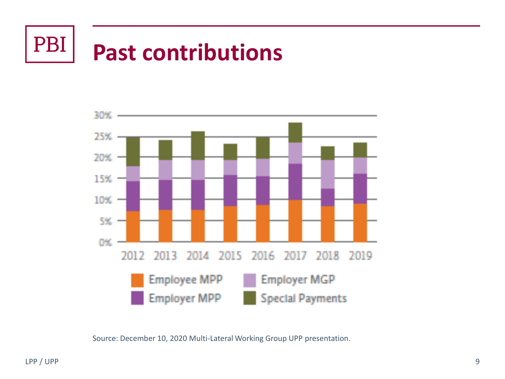

## **Past contributions**



Source: December 10, 2020 Multi-Lateral Working Group UPP presentation.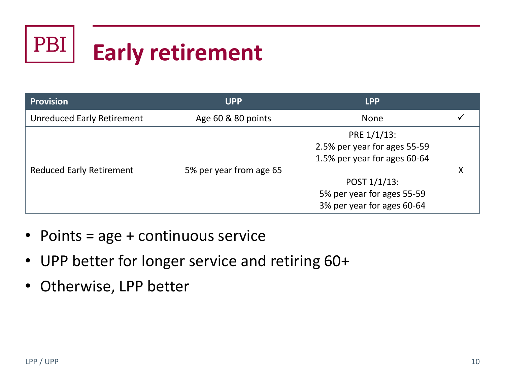## PBI **Early retirement**

| <b>Provision</b>                  | <b>UPP</b>              | <b>LPP</b>                   |   |
|-----------------------------------|-------------------------|------------------------------|---|
| <b>Unreduced Early Retirement</b> | Age 60 & 80 points      | <b>None</b>                  |   |
|                                   |                         | PRE 1/1/13:                  |   |
|                                   |                         | 2.5% per year for ages 55-59 |   |
|                                   |                         | 1.5% per year for ages 60-64 |   |
| <b>Reduced Early Retirement</b>   | 5% per year from age 65 |                              | x |
|                                   |                         | POST 1/1/13:                 |   |
|                                   |                         | 5% per year for ages 55-59   |   |
|                                   |                         | 3% per year for ages 60-64   |   |

- Points = age + continuous service
- UPP better for longer service and retiring 60+
- Otherwise, LPP better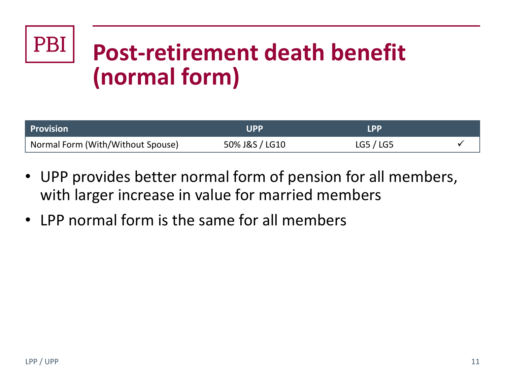# **Post-retirement death benefit (normal form)**

| <b>Provision</b>                  | l IPP          | I DD      |  |
|-----------------------------------|----------------|-----------|--|
| Normal Form (With/Without Spouse) | 50% J&S / LG10 | LG5 / LG5 |  |

- UPP provides better normal form of pension for all members, with larger increase in value for married members
- LPP normal form is the same for all members

**PBI**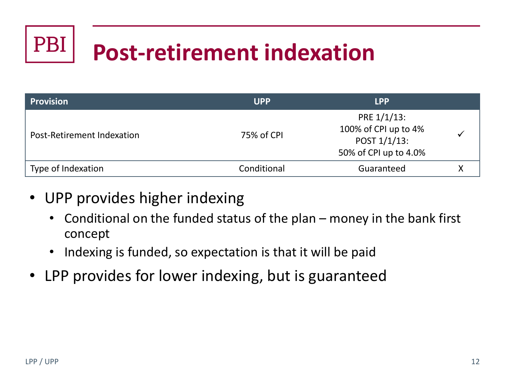

## **Post-retirement indexation**

| <b>Provision</b>           | <b>UPP</b>  | <b>LPP</b>                                                                   |   |
|----------------------------|-------------|------------------------------------------------------------------------------|---|
| Post-Retirement Indexation | 75% of CPI  | PRE 1/1/13:<br>100% of CPI up to 4%<br>POST 1/1/13:<br>50% of CPI up to 4.0% |   |
| Type of Indexation         | Conditional | Guaranteed                                                                   | Х |

- UPP provides higher indexing
	- Conditional on the funded status of the plan money in the bank first concept
	- Indexing is funded, so expectation is that it will be paid
- LPP provides for lower indexing, but is guaranteed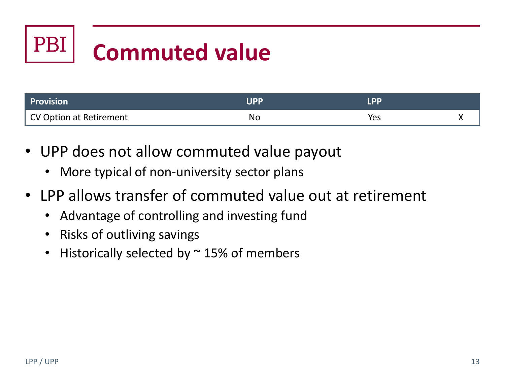### **PBI Commuted value**

| Provision               | סכוו      |     |  |
|-------------------------|-----------|-----|--|
| CV Option at Retirement | <b>NO</b> | Yes |  |

- UPP does not allow commuted value payout
	- More typical of non-university sector plans
- LPP allows transfer of commuted value out at retirement
	- Advantage of controlling and investing fund
	- Risks of outliving savings
	- Historically selected by  $\sim$  15% of members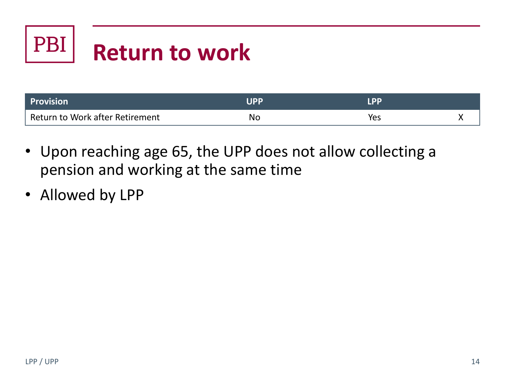## PBI **Return to work**

| <b>Provision</b>                | IDD |     |  |
|---------------------------------|-----|-----|--|
| Return to Work after Retirement | No  | Yes |  |

- Upon reaching age 65, the UPP does not allow collecting a pension and working at the same time
- Allowed by LPP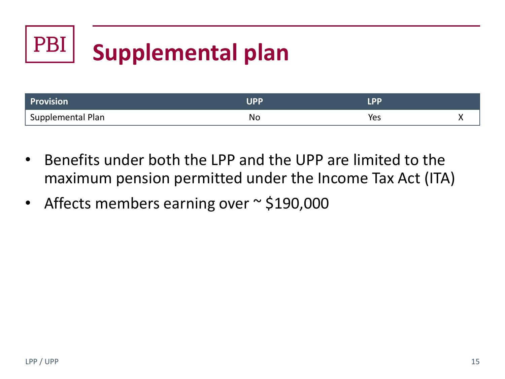## PBI **Supplemental plan**

| <b>Provision</b>               | IDD |     |  |
|--------------------------------|-----|-----|--|
| <sup>1</sup> Supplemental Plan | NO  | Yes |  |

- Benefits under both the LPP and the UPP are limited to the maximum pension permitted under the Income Tax Act (ITA)
- Affects members earning over ~ \$190,000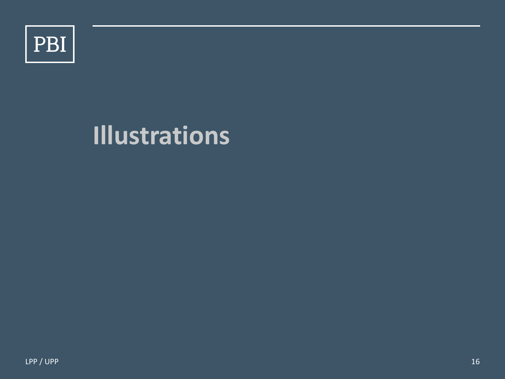

## **Illustrations**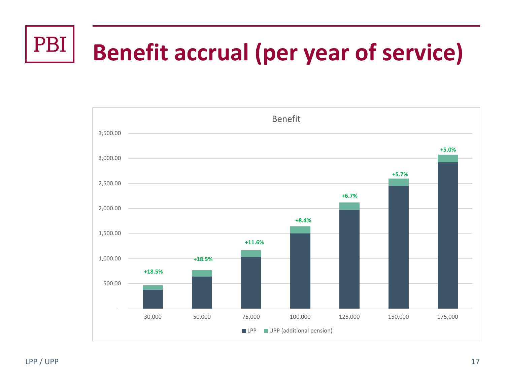#### PBI **Benefit accrual (per year of service)**

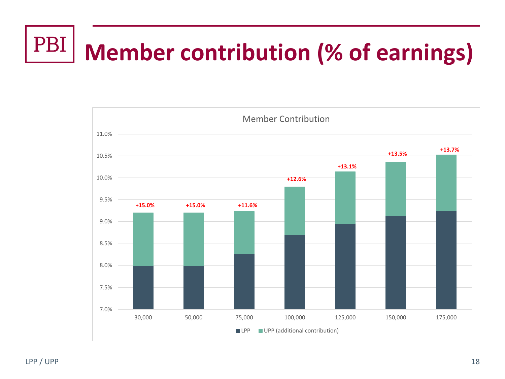### PBI **Member contribution (% of earnings)**

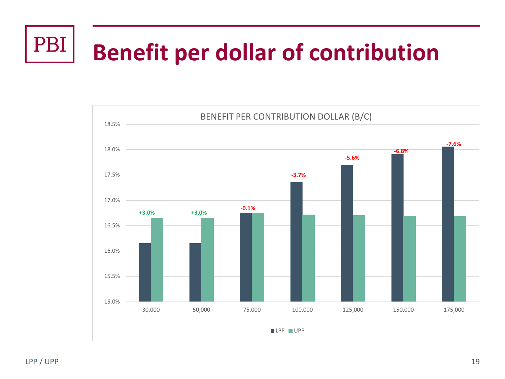## PBI **Benefit per dollar of contribution**

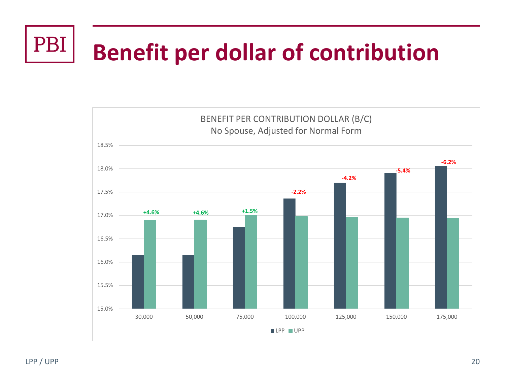### PBI **Benefit per dollar of contribution**

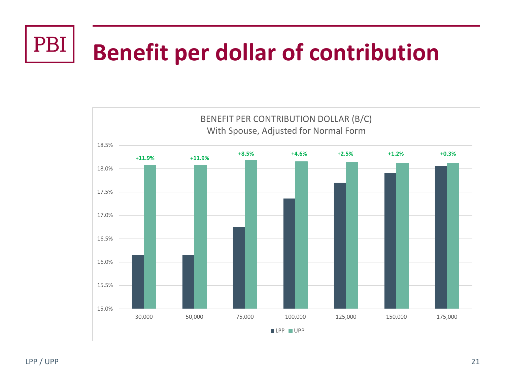#### PBI **Benefit per dollar of contribution**

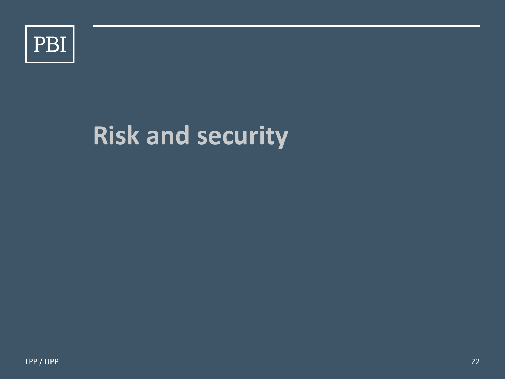

## **Risk and security**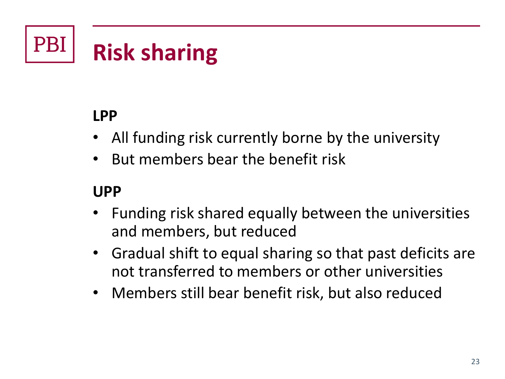### **PB Risk sharing**

### **LPP**

- All funding risk currently borne by the university
- But members bear the benefit risk

### **UPP**

- Funding risk shared equally between the universities and members, but reduced
- Gradual shift to equal sharing so that past deficits are not transferred to members or other universities
- Members still bear benefit risk, but also reduced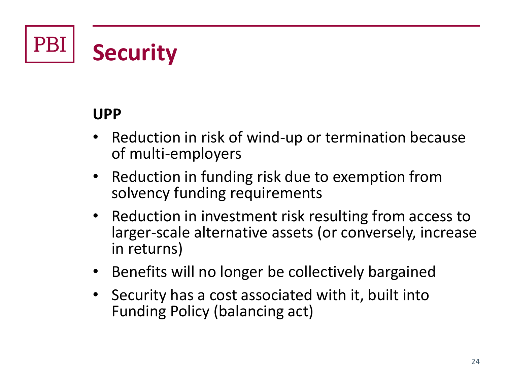PBI **Security**

#### **UPP**

- Reduction in risk of wind-up or termination because of multi-employers
- Reduction in funding risk due to exemption from solvency funding requirements
- Reduction in investment risk resulting from access to larger-scale alternative assets (or conversely, increase in returns)
- Benefits will no longer be collectively bargained
- Security has a cost associated with it, built into Funding Policy (balancing act)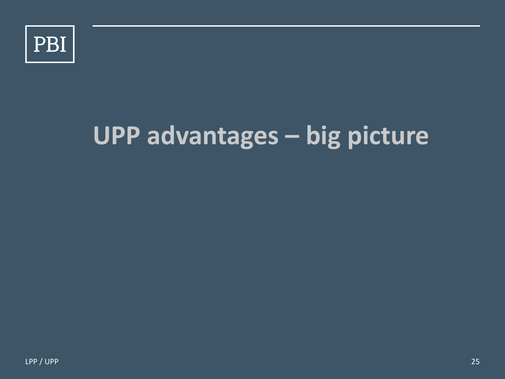

# **UPP advantages – big picture**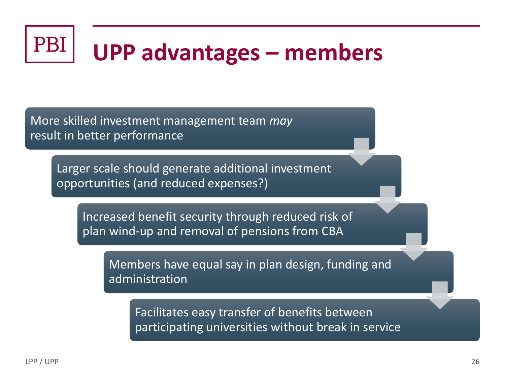#### PB<sub>l</sub> **UPP advantages – members**

More skilled investment management team *may* result in better performance

Larger scale should generate additional investment opportunities (and reduced expenses?)

Increased benefit security through reduced risk of plan wind-up and removal of pensions from CBA

Members have equal say in plan design, funding and administration

Facilitates easy transfer of benefits between participating universities without break in service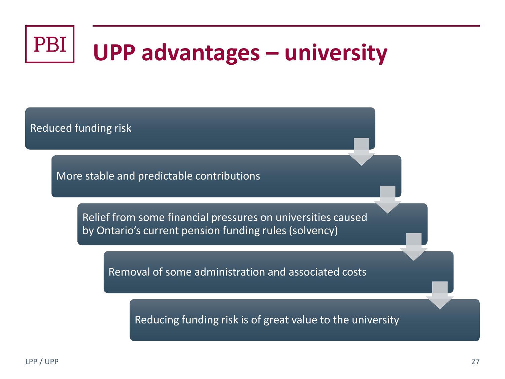#### PBI **UPP advantages – university**

Reduced funding risk

More stable and predictable contributions

Relief from some financial pressures on universities caused by Ontario's current pension funding rules (solvency)

Removal of some administration and associated costs

Reducing funding risk is of great value to the university